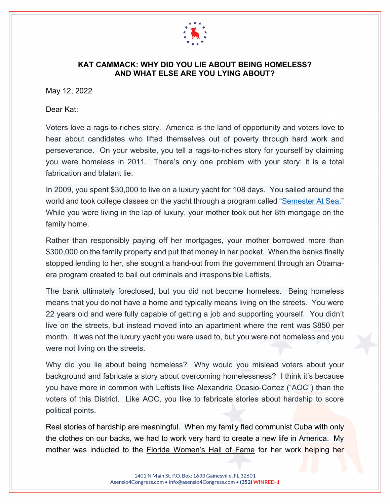

## **KAT CAMMACK: WHY DID YOU LIE ABOUT BEING HOMELESS? AND WHAT ELSE ARE YOU LYING ABOUT?**

May 12, 2022

## Dear Kat:

Voters love a rags-to-riches story. America is the land of opportunity and voters love to hear about candidates who lifted themselves out of poverty through hard work and perseverance. On your website, you tell a rags-to-riches story for yourself by claiming you were homeless in 2011. There's only one problem with your story: it is a total fabrication and blatant lie.

In 2009, you spent \$30,000 to live on a luxury yacht for 108 days. You sailed around the world and took college classes on the yacht through a program called ["Semester At Sea.](https://www.semesteratsea.org/)" While you were living in the lap of luxury, your mother took out her 8th mortgage on the family home.

Rather than responsibly paying off her mortgages, your mother borrowed more than \$300,000 on the family property and put that money in her pocket. When the banks finally stopped lending to her, she sought a hand-out from the government through an Obamaera program created to bail out criminals and irresponsible Leftists.

The bank ultimately foreclosed, but you did not become homeless. Being homeless means that you do not have a home and typically means living on the streets. You were 22 years old and were fully capable of getting a job and supporting yourself. You didn't live on the streets, but instead moved into an apartment where the rent was \$850 per month. It was not the luxury yacht you were used to, but you were not homeless and you were not living on the streets.

Why did you lie about being homeless? Why would you mislead voters about your background and fabricate a story about overcoming homelessness? I think it's because you have more in common with Leftists like Alexandria Ocasio-Cortez ("AOC") than the voters of this District. Like AOC, you like to fabricate stories about hardship to score political points.

Real stories of hardship are meaningful. When my family fled communist Cuba with only the clothes on our backs, we had to work very hard to create a new life in America. My mother was inducted to the [Florida Women's Hall of Fame](https://flwomenshalloffame.org/bio/caridad-asensio/) for her work helping her